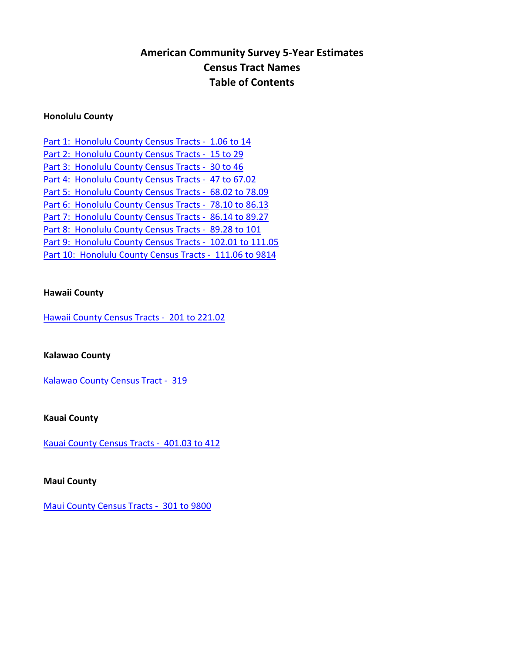# **American Community Survey 5-Year Estimates Census Tract Names Table of Contents**

### **Honolulu County**

| Part 1: Honolulu County Census Tracts - 1.06 to 14       |
|----------------------------------------------------------|
| Part 2: Honolulu County Census Tracts - 15 to 29         |
| Part 3: Honolulu County Census Tracts - 30 to 46         |
| Part 4: Honolulu County Census Tracts - 47 to 67.02      |
| Part 5: Honolulu County Census Tracts - 68.02 to 78.09   |
| Part 6: Honolulu County Census Tracts - 78.10 to 86.13   |
| Part 7: Honolulu County Census Tracts - 86.14 to 89.27   |
| Part 8: Honolulu County Census Tracts - 89.28 to 101     |
| Part 9: Honolulu County Census Tracts - 102.01 to 111.05 |
| Part 10: Honolulu County Census Tracts - 111.06 to 9814  |

#### **Hawaii County**

[Hawaii County Census Tracts - 201 to 221.02](#page-11-0)

### **Kalawao County**

[Kalawao County Census Tract - 319](#page-12-0)

**Kauai County**

[Kauai County Census Tracts - 401.03 to 412](#page-13-0)

**Maui County**

[Maui County Census Tracts - 301 to 9800](#page-14-0)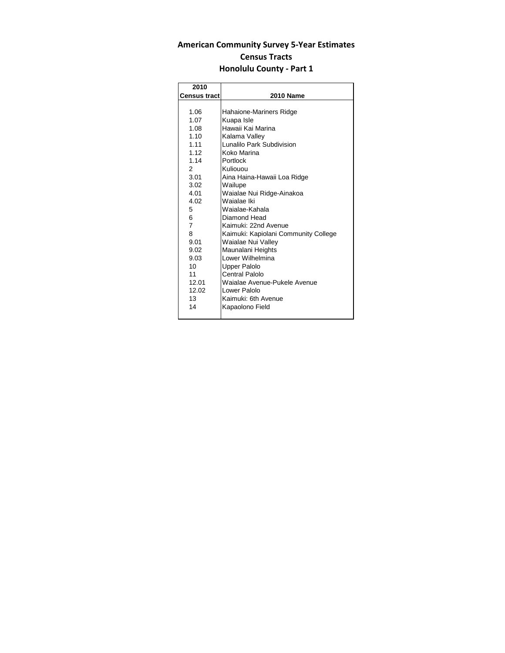<span id="page-1-0"></span>

| 2010                |                                      |
|---------------------|--------------------------------------|
| <b>Census tract</b> | <b>2010 Name</b>                     |
|                     |                                      |
| 1.06                | Hahaione-Mariners Ridge              |
| 1.07                | Kuapa Isle                           |
| 1.08                | Hawaii Kai Marina                    |
| 1.10                | Kalama Valley                        |
| 1.11                | Lunalilo Park Subdivision            |
| 1.12                | Koko Marina                          |
| 1.14                | Portlock                             |
| $\mathcal{P}$       | Kuliouou                             |
| 3.01                | Aina Haina-Hawaii Loa Ridge          |
| 3.02                | Wailupe                              |
| 4.01                | Waialae Nui Ridge-Ainakoa            |
| 4.02                | Waialae Iki                          |
| 5                   | Waialae-Kahala                       |
| 6                   | Diamond Head                         |
| 7                   | Kaimuki: 22nd Avenue                 |
| 8                   | Kaimuki: Kapiolani Community College |
| 9.01                | Waialae Nui Valley                   |
| 9.02                | Maunalani Heights                    |
| 9.03                | Lower Wilhelmina                     |
| 10                  | <b>Upper Palolo</b>                  |
| 11                  | Central Palolo                       |
| 12.01               | Waialae Avenue-Pukele Avenue         |
| 12.02               | Lower Palolo                         |
| 13                  | Kaimuki: 6th Avenue                  |
| 14                  | Kapaolono Field                      |
|                     |                                      |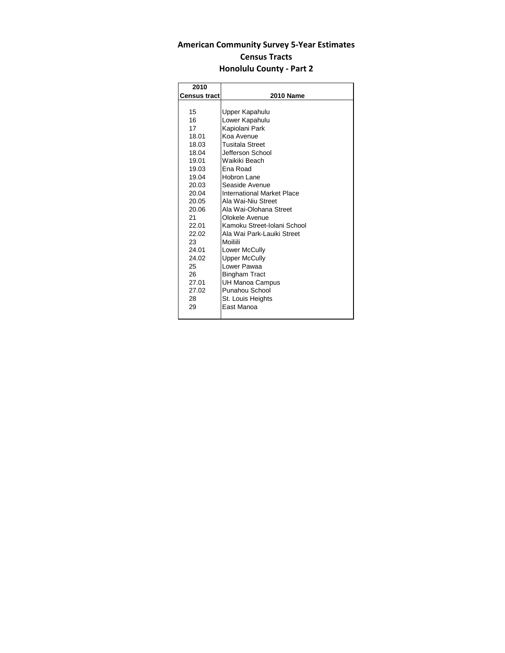<span id="page-2-0"></span>

| 2010                |                             |
|---------------------|-----------------------------|
| <b>Census tract</b> | <b>2010 Name</b>            |
|                     |                             |
| 15                  | Upper Kapahulu              |
| 16                  | Lower Kapahulu              |
| 17                  | Kapiolani Park              |
| 18.01               | Koa Avenue                  |
| 18.03               | <b>Tusitala Street</b>      |
| 18.04               | Jefferson School            |
| 19.01               | Waikiki Beach               |
| 19.03               | <b>Ena Road</b>             |
| 19.04               | Hobron I ane                |
| 20.03               | Seaside Avenue              |
| 20.04               | International Market Place  |
| 20.05               | Ala Wai-Niu Street          |
| 20.06               | Ala Wai-Olohana Street      |
| 21                  | Olokele Avenue              |
| 22.01               | Kamoku Street-Iolani School |
| 22.02               | Ala Wai Park-Lauiki Street  |
| 23                  | Moiliili                    |
| 24.01               | Lower McCully               |
| 24.02               | Upper McCully               |
| 25                  | Lower Pawaa                 |
| 26                  | Bingham Tract               |
| 27.01               | <b>UH Manoa Campus</b>      |
| 27.02               | Punahou School              |
| 28                  | St. Louis Heights           |
| 29                  | East Manoa                  |
|                     |                             |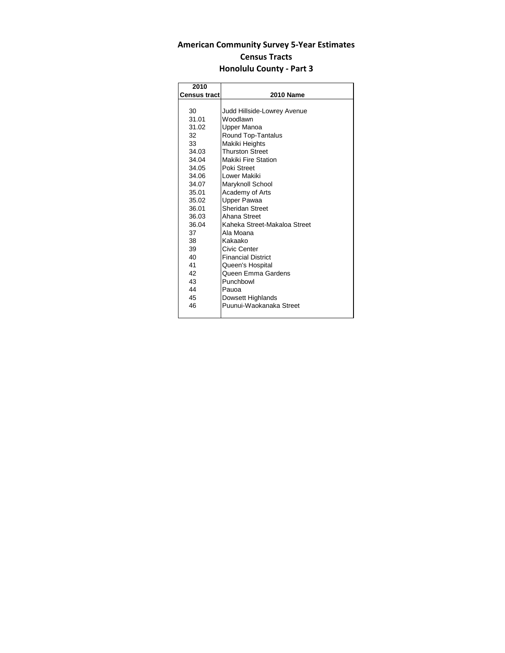<span id="page-3-0"></span>

| 2010                |                              |
|---------------------|------------------------------|
| <b>Census tract</b> | <b>2010 Name</b>             |
|                     |                              |
| 30                  | Judd Hillside-Lowrey Avenue  |
| 31.01               | Woodlawn                     |
| 31.02               | Upper Manoa                  |
| 32                  | Round Top-Tantalus           |
| 33                  | Makiki Heights               |
| 34.03               | <b>Thurston Street</b>       |
| 34.04               | Makiki Fire Station          |
| 34.05               | Poki Street                  |
| 34.06               | Lower Makiki                 |
| 34.07               | Maryknoll School             |
| 35.01               | Academy of Arts              |
| 35.02               | Upper Pawaa                  |
| 36.01               | <b>Sheridan Street</b>       |
| 36.03               | Ahana Street                 |
| 36.04               | Kaheka Street-Makaloa Street |
| 37                  | Ala Moana                    |
| 38                  | Kakaako                      |
| 39                  | Civic Center                 |
| 40                  | <b>Financial District</b>    |
| 41                  | Queen's Hospital             |
| 42                  | Queen Emma Gardens           |
| 43                  | Punchbowl                    |
| 44                  | Pauoa                        |
| 45                  | Dowsett Highlands            |
| 46                  | Puunui-Waokanaka Street      |
|                     |                              |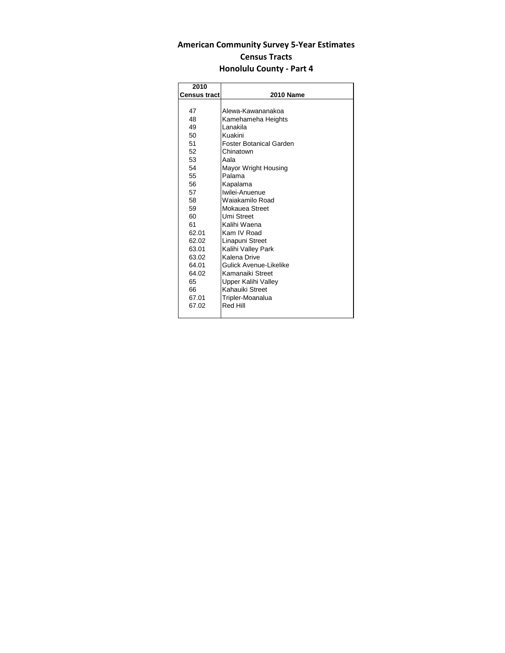<span id="page-4-0"></span>

| 2010                |                         |
|---------------------|-------------------------|
| <b>Census tract</b> | <b>2010 Name</b>        |
|                     |                         |
| 47                  | Alewa-Kawananakoa       |
| 48                  | Kamehameha Heights      |
| 49                  | I anakila               |
| 50                  | Kuakini                 |
| 51                  | Foster Botanical Garden |
| 52                  | Chinatown               |
| 53                  | Aala                    |
| 54                  | Mayor Wright Housing    |
| 55                  | Palama                  |
| 56                  | Kapalama                |
| 57                  | Iwilei-Anuenue          |
| 58                  | Waiakamilo Road         |
| 59                  | Mokauea Street          |
| 60                  | Umi Street              |
| 61                  | Kalihi Waena            |
| 62.01               | Kam IV Road             |
| 62.02               | Linapuni Street         |
| 63.01               | Kalihi Valley Park      |
| 63.02               | Kalena Drive            |
| 64.01               | Gulick Avenue-Likelike  |
| 64.02               | Kamanaiki Street        |
| 65                  | Upper Kalihi Valley     |
| 66                  | Kahauiki Street         |
| 67.01               | Tripler-Moanalua        |
| 67.02               | Red Hill                |
|                     |                         |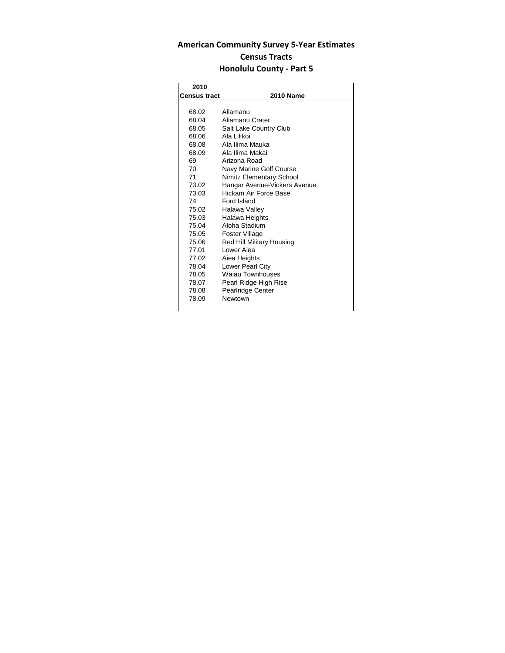<span id="page-5-0"></span>

| 2010                |                              |
|---------------------|------------------------------|
| <b>Census tract</b> | <b>2010 Name</b>             |
|                     |                              |
| 68.02               | Aliamanu                     |
| 68.04               | Aliamanu Crater              |
| 68.05               | Salt Lake Country Club       |
| 68.06               | Ala Lilikoi                  |
| 68.08               | Ala Ilima Mauka              |
| 68.09               | Ala Ilima Makai              |
| 69                  | Arizona Road                 |
| 70                  | Navy Marine Golf Course      |
| 71                  | Nimitz Elementary School     |
| 73.02               | Hangar Avenue-Vickers Avenue |
| 73.03               | Hickam Air Force Base        |
| 74                  | Ford Island                  |
| 75.02               | Halawa Valley                |
| 75.03               | Halawa Heights               |
| 75.04               | Aloha Stadium                |
| 75.05               | Foster Village               |
| 75.06               | Red Hill Military Housing    |
| 77.01               | I ower Aiea                  |
| 77.02               | Aiea Heights                 |
| 78.04               | Lower Pearl City             |
| 78.05               | Waiau Townhouses             |
| 78.07               | Pearl Ridge High Rise        |
| 78.08               | Pearlridge Center            |
| 78.09               | Newtown                      |
|                     |                              |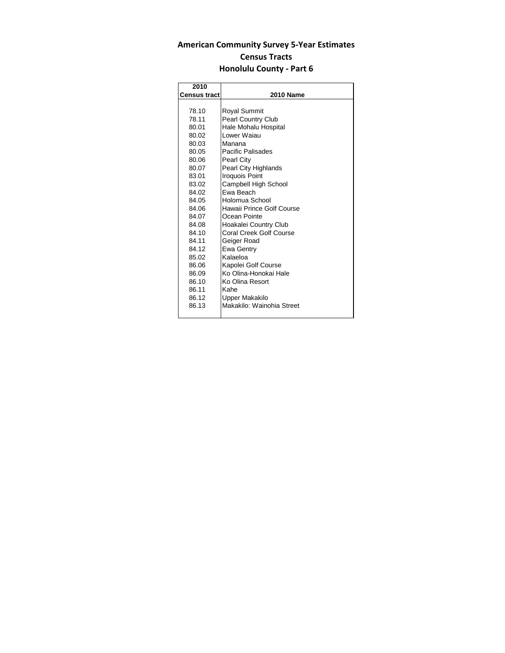<span id="page-6-0"></span>

| 2010                |                           |
|---------------------|---------------------------|
| <b>Census tract</b> | <b>2010 Name</b>          |
|                     |                           |
| 78.10               | Royal Summit              |
| 78.11               | <b>Pearl Country Club</b> |
| 80.01               | Hale Mohalu Hospital      |
| 80.02               | Lower Waiau               |
| 80.03               | Manana                    |
| 80.05               | Pacific Palisades         |
| 80.06               | Pearl City                |
| 80.07               | Pearl City Highlands      |
| 83.01               | <b>Iroquois Point</b>     |
| 83.02               | Campbell High School      |
| 84.02               | <b>Fwa Beach</b>          |
| 84.05               | Holomua School            |
| 84.06               | Hawaii Prince Golf Course |
| 84.07               | Ocean Pointe              |
| 84.08               | Hoakalei Country Club     |
| 84.10               | Coral Creek Golf Course   |
| 84.11               | Geiger Road               |
| 84.12               | Ewa Gentry                |
| 85.02               | Kalaeloa                  |
| 86.06               | Kapolei Golf Course       |
| 86.09               | Ko Olina-Honokai Hale     |
| 86.10               | Ko Olina Resort           |
| 86.11               | Kahe                      |
| 86.12               | Upper Makakilo            |
| 86.13               | Makakilo: Wainohia Street |
|                     |                           |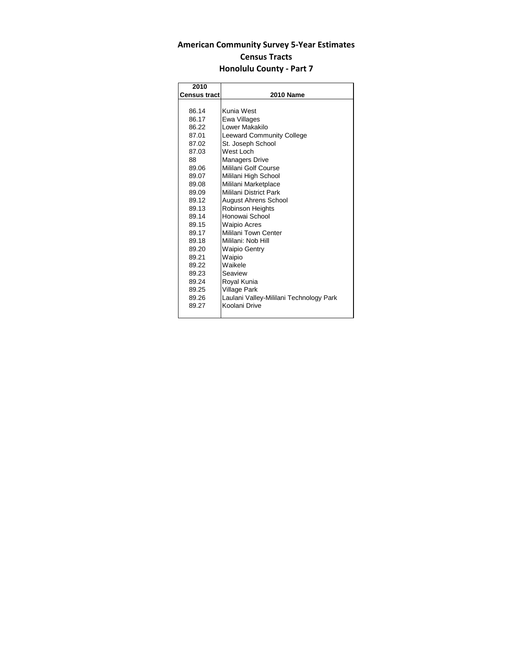<span id="page-7-0"></span>

| 2010                |                                         |
|---------------------|-----------------------------------------|
| <b>Census tract</b> | <b>2010 Name</b>                        |
|                     |                                         |
| 86.14               | Kunia West                              |
| 86.17               | Ewa Villages                            |
| 86.22               | Lower Makakilo                          |
| 87.01               | <b>Leeward Community College</b>        |
| 87.02               | St. Joseph School                       |
| 87.03               | West Loch                               |
| 88                  | <b>Managers Drive</b>                   |
| 89.06               | Mililani Golf Course                    |
| 89.07               | Mililani High School                    |
| 89.08               | Mililani Marketplace                    |
| 89.09               | Mililani District Park                  |
| 89.12               | <b>August Ahrens School</b>             |
| 89.13               | <b>Robinson Heights</b>                 |
| 89.14               | Honowai School                          |
| 89.15               | <b>Waipio Acres</b>                     |
| 89.17               | Mililani Town Center                    |
| 89.18               | Mililani: Nob Hill                      |
| 89.20               | <b>Waipio Gentry</b>                    |
| 89.21               | Waipio                                  |
| 89.22               | Waikele                                 |
| 89.23               | Seaview                                 |
| 89.24               | Royal Kunia                             |
| 89.25               | Village Park                            |
| 89.26               | Laulani Valley-Mililani Technology Park |
| 89.27               | Koolani Drive                           |
|                     |                                         |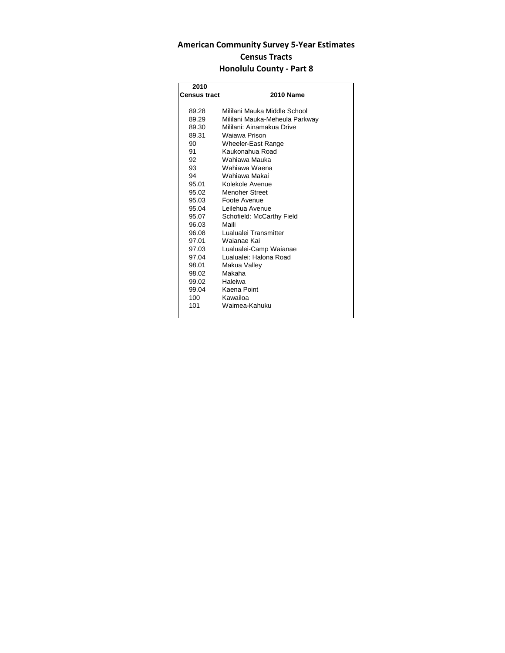<span id="page-8-0"></span>

| 2010                |                                |
|---------------------|--------------------------------|
| <b>Census tract</b> | <b>2010 Name</b>               |
|                     |                                |
| 89.28               | Mililani Mauka Middle School   |
| 89.29               | Mililani Mauka-Meheula Parkway |
| 89.30               | Mililani: Ainamakua Drive      |
| 89.31               | Wajawa Prison                  |
| 90                  | Wheeler-East Range             |
| 91                  | Kaukonahua Road                |
| 92                  | Wahiawa Mauka                  |
| 93                  | Wahiawa Waena                  |
| 94                  | Wahiawa Makai                  |
| 95.01               | Kolekole Avenue                |
| 95.02               | Menoher Street                 |
| 95.03               | Foote Avenue                   |
| 95.04               | Leilehua Avenue                |
| 95.07               | Schofield: McCarthy Field      |
| 96.03               | Maili                          |
| 96.08               | Lualualei Transmitter          |
| 97.01               | Waianae Kai                    |
| 97.03               | Lualualei-Camp Waianae         |
| 97.04               | Lualualei: Halona Road         |
| 98.01               | Makua Valley                   |
| 98.02               | Makaha                         |
| 99.02               | Haleiwa                        |
| 99.04               | Kaena Point                    |
| 100                 | Kawailoa                       |
| 101                 | Waimea-Kahuku                  |
|                     |                                |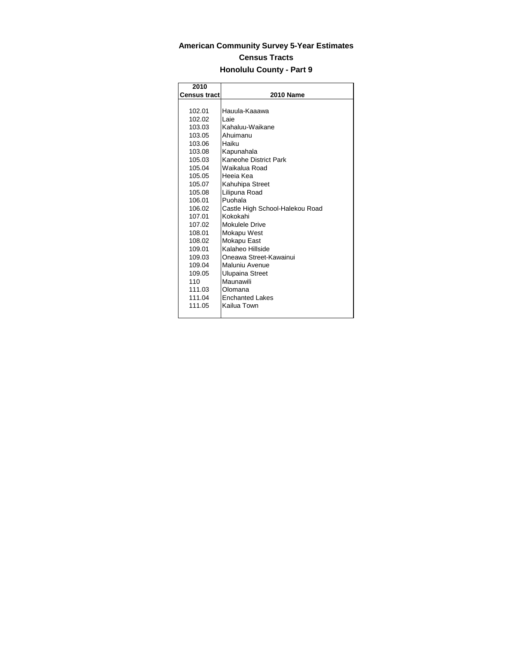<span id="page-9-0"></span>

| 2010                |                                 |
|---------------------|---------------------------------|
| <b>Census tract</b> | <b>2010 Name</b>                |
|                     |                                 |
| 102.01              | Hauula-Kaaawa                   |
| 102.02              | Laie                            |
| 103.03              | Kahaluu-Waikane                 |
| 103.05              | Ahuimanu                        |
| 103.06              | Haiku                           |
| 103.08              | Kapunahala                      |
| 105.03              | Kaneohe District Park           |
| 105.04              | Waikalua Road                   |
| 105.05              | Heeja Kea                       |
| 105.07              | Kahuhipa Street                 |
| 105.08              | Lilipuna Road                   |
| 106.01              | Puohala                         |
| 106.02              | Castle High School-Halekou Road |
| 107.01              | Kokokahi                        |
| 107.02              | Mokulele Drive                  |
| 108.01              | Mokapu West                     |
| 108.02              | Mokapu East                     |
| 109.01              | Kalaheo Hillside                |
| 109.03              | Oneawa Street-Kawainui          |
| 109.04              | Maluniu Avenue                  |
| 109.05              | Ulupaina Street                 |
| 110                 | Maunawili                       |
| 111.03              | Olomana                         |
| 111.04              | <b>Fnchanted Lakes</b>          |
| 111.05              | Kailua Town                     |
|                     |                                 |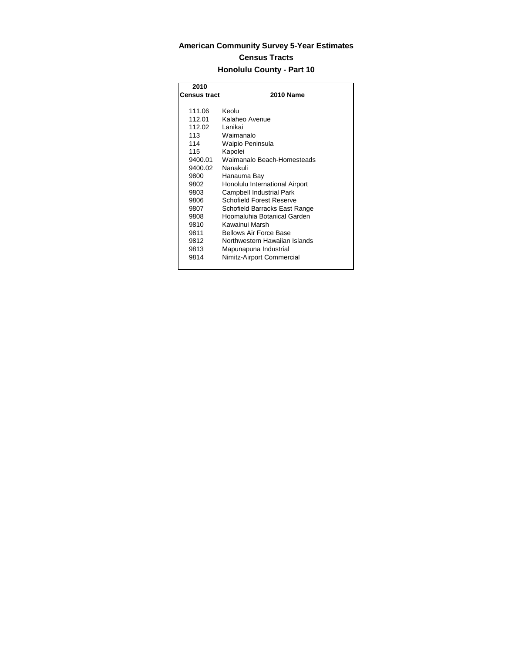<span id="page-10-0"></span>

| 2010                |                                |
|---------------------|--------------------------------|
| <b>Census tract</b> | <b>2010 Name</b>               |
|                     |                                |
| 111.06              | Keolu                          |
| 112.01              | Kalaheo Avenue                 |
| 112.02              | I anikai                       |
| 113                 | Waimanalo                      |
| 114                 | Waipio Peninsula               |
| 115                 | Kapolei                        |
| 9400.01             | Waimanalo Beach-Homesteads     |
| 9400.02             | Nanakuli                       |
| 9800                | Hanauma Bay                    |
| 9802                | Honolulu International Airport |
| 9803                | Campbell Industrial Park       |
| 9806                | Schofield Forest Reserve       |
| 9807                | Schofield Barracks East Range  |
| 9808                | Hoomaluhia Botanical Garden    |
| 9810                | Kawainui Marsh                 |
| 9811                | <b>Bellows Air Force Base</b>  |
| 9812                | Northwestern Hawaiian Islands  |
| 9813                | Mapunapuna Industrial          |
| 9814                | Nimitz-Airport Commercial      |
|                     |                                |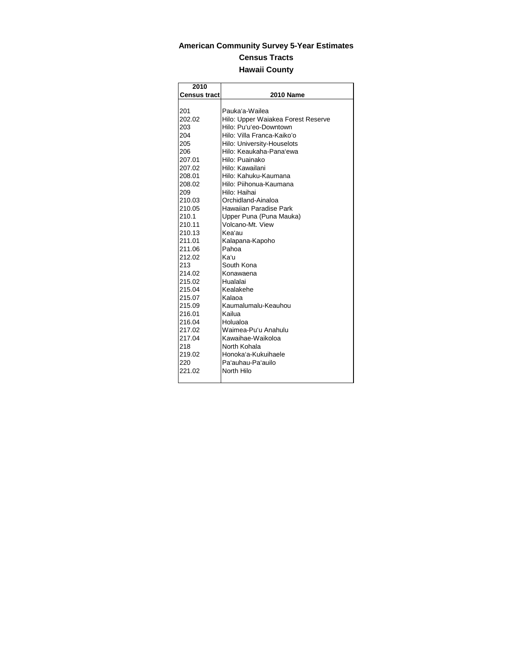# <span id="page-11-0"></span>**American Community Survey 5-Year Estimates Census Tracts Hawaii County**

| 2010                |                                    |
|---------------------|------------------------------------|
| <b>Census tract</b> | <b>2010 Name</b>                   |
|                     |                                    |
| 201                 | Pauka'a-Wailea                     |
| 202.02              | Hilo: Upper Waiakea Forest Reserve |
| 203                 | Hilo: Pu'u'eo-Downtown             |
| 204                 | Hilo: Villa Franca-Kaiko'o         |
| 205                 | Hilo: University-Houselots         |
| 206                 | Hilo: Keaukaha-Pana'ewa            |
| 207.01              | Hilo: Puainako                     |
| 207.02              | Hilo: Kawailani                    |
| 208.01              | Hilo: Kahuku-Kaumana               |
| 208.02              | Hilo: Piihonua-Kaumana             |
| 209                 | Hilo: Haihai                       |
| 210.03              | Orchidland-Ainaloa                 |
| 210.05              | Hawaiian Paradise Park             |
| 210.1               | Upper Puna (Puna Mauka)            |
| 210.11              | Volcano-Mt. View                   |
| 210.13              | Kea'au                             |
| 211.01              | Kalapana-Kapoho                    |
| 211.06              | Pahoa                              |
| 212.02              | Kaʻu                               |
| 213                 | South Kona                         |
| 214.02              | Konawaena                          |
| 215.02              | Hualalai                           |
| 215.04              | Kealakehe                          |
| 215.07              | Kalaoa                             |
| 215.09              | Kaumalumalu-Keauhou                |
| 216.01              | Kailua                             |
| 216.04              | Holualoa                           |
| 217.02              | Waimea-Pu'u Anahulu                |
| 217.04              | Kawaihae-Waikoloa                  |
| 218                 | North Kohala                       |
| 219.02              | Honoka'a-Kukuihaele                |
| 220                 | Pa'auhau-Pa'auilo                  |
| 221.02              | North Hilo                         |
|                     |                                    |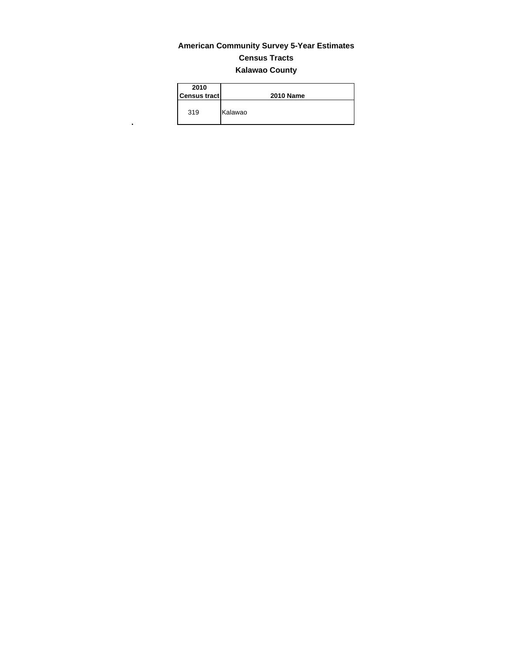# **American Community Survey 5-Year Estimates Census Tracts Kalawao County**

| 2010<br><b>Census tract</b> | <b>2010 Name</b> |
|-----------------------------|------------------|
| 319                         | Kalawao          |

<span id="page-12-0"></span> $\mathbf{r}^{\left(1\right)}$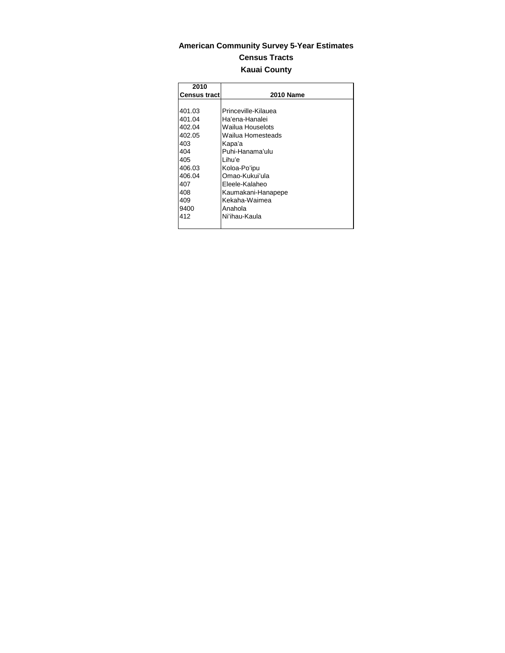# <span id="page-13-0"></span>**American Community Survey 5-Year Estimates Census Tracts Kauai County**

| 2010                |                     |
|---------------------|---------------------|
| <b>Census tract</b> | <b>2010 Name</b>    |
|                     |                     |
| 401.03              | Princeville-Kilauea |
| 401.04              | Ha'ena-Hanalei      |
| 402.04              | Wailua Houselots    |
| 402.05              | Wailua Homesteads   |
| 403                 | Kapa'a              |
| 404                 | Puhi-Hanama'ulu     |
| 405                 | l ihu'e             |
| 406.03              | Koloa-Po'ipu        |
| 406.04              | Omao-Kukui'ula      |
| 407                 | Fleele-Kalaheo      |
| 408                 | Kaumakani-Hanapepe  |
| 409                 | Kekaha-Waimea       |
| 9400                | Anahola             |
| 412                 | Ni'ihau-Kaula       |
|                     |                     |